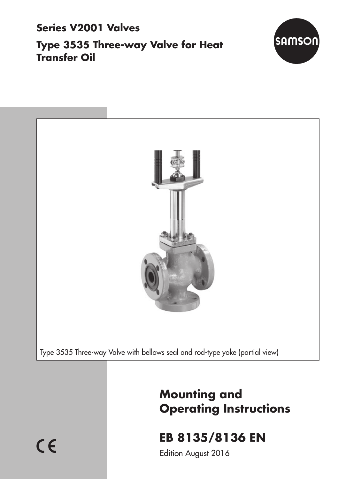**Series V2001 Valves Type 3535 Three-way Valve for Heat Transfer Oil**





# **Mounting and Operating Instructions**

# **EB 8135/8136 EN**

Edition August 2016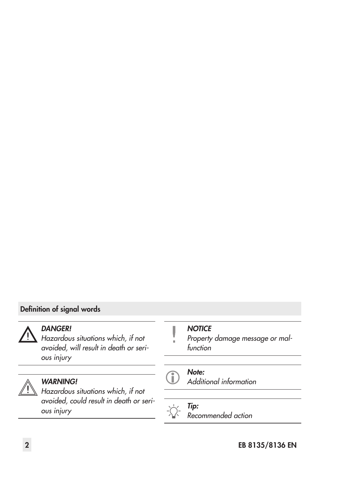#### Definition of signal words



#### *DANGER!*

*Hazardous situations which, if not avoided, will result in death or serious injury*



#### *WARNING!*

*Hazardous situations which, if not avoided, could result in death or serious injury*

#### *NOTICE*

*Property damage message or malfunction*



#### *Note:*

*Additional information*

*Tip:*

*Recommended action*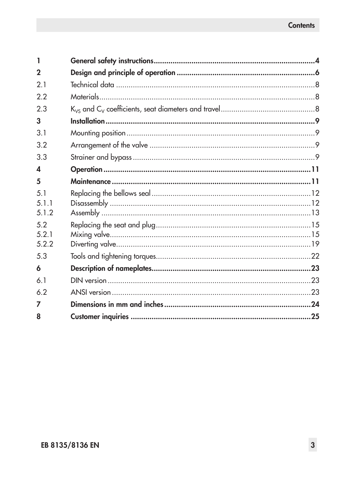| ı                     |  |
|-----------------------|--|
| $\mathbf{2}$          |  |
| 2.1                   |  |
| 22                    |  |
| 2.3                   |  |
| 3                     |  |
| 3.1                   |  |
| 3.2                   |  |
| 3.3                   |  |
| 4                     |  |
| 5                     |  |
| 51<br>5 1 1<br>5.1.2  |  |
| 5.2<br>5.2.1<br>5.2.2 |  |
| 5.3                   |  |
| 6                     |  |
| 61                    |  |
| 6.2                   |  |
| 7                     |  |
| 8                     |  |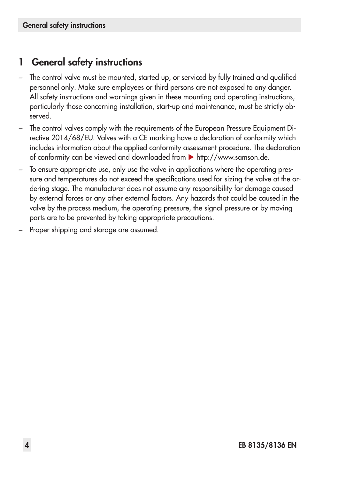### <span id="page-3-0"></span>1 General safety instructions

- *−* The control valve must be mounted, started up, or serviced by fully trained and qualified personnel only. Make sure employees or third persons are not exposed to any danger. All safety instructions and warnings given in these mounting and operating instructions, particularly those concerning installation, start-up and maintenance, must be strictly observed.
- *−* The control valves comply with the requirements of the European Pressure Equipment Directive 2014/68/EU. Valves with a CE marking have a declaration of conformity which includes information about the applied conformity assessment procedure. The declaration of conformity can be viewed and downloaded from  $\blacktriangleright$ <http://www.samson.de>.
- *−* To ensure appropriate use, only use the valve in applications where the operating pressure and temperatures do not exceed the specifications used for sizing the valve at the ordering stage. The manufacturer does not assume any responsibility for damage caused by external forces or any other external factors. Any hazards that could be caused in the valve by the process medium, the operating pressure, the signal pressure or by moving parts are to be prevented by taking appropriate precautions.
- Proper shipping and storage are assumed.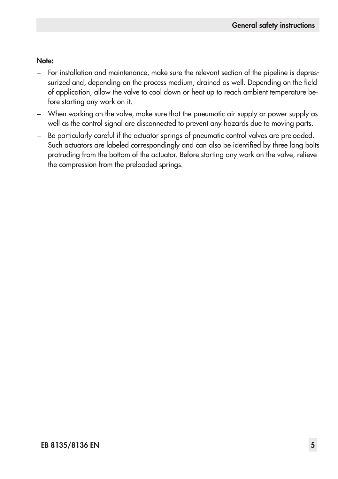#### Note:

- *−* For installation and maintenance, make sure the relevant section of the pipeline is depressurized and, depending on the process medium, drained as well. Depending on the field of application, allow the valve to cool down or heat up to reach ambient temperature before starting any work on it.
- *−* When working on the valve, make sure that the pneumatic air supply or power supply as well as the control signal are disconnected to prevent any hazards due to moving parts.
- *−* Be particularly careful if the actuator springs of pneumatic control valves are preloaded. Such actuators are labeled correspondingly and can also be identified by three long bolts protruding from the bottom of the actuator. Before starting any work on the valve, relieve the compression from the preloaded springs.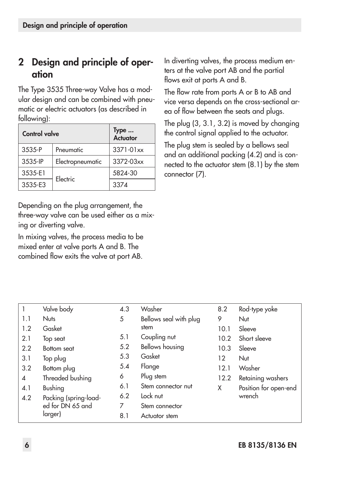### <span id="page-5-0"></span>2 Design and principle of operation

The Type 3535 Three-way Valve has a modular design and can be combined with pneumatic or electric actuators (as described in following):

| Control valve | Type<br>Actuator |           |
|---------------|------------------|-----------|
| 3535-P        | Pneumatic        | 3371-01xx |
| 3535-IP       | Electropneumatic | 3372-03xx |
| 3535-E1       | Flectric         | 5824-30   |
| 3535-E3       |                  | 3374      |

Depending on the plug arrangement, the three-way valve can be used either as a mixing or diverting valve.

In mixing valves, the process media to be mixed enter at valve ports A and B. The combined flow exits the valve at port AB.

In diverting valves, the process medium enters at the valve port AB and the partial flows exit at ports A and B.

The flow rate from ports A or B to AB and vice versa depends on the cross-sectional area of flow between the seats and plugs.

The plug (3, 3.1, 3.2) is moved by changing the control signal applied to the actuator.

The plug stem is sealed by a bellows seal and an additional packing (4.2) and is connected to the actuator stem (8.1) by the stem connector (7).

|     | Valve body            | 4.3 | Washer                 | 8.2  | Rod-type yoke         |
|-----|-----------------------|-----|------------------------|------|-----------------------|
| 1.1 | <b>Nuts</b>           | 5   | Bellows seal with plug | 9    | Nut                   |
| 1.2 | Gasket                |     | stem                   | 10.1 | Sleeve                |
| 2.1 | Top seat              | 5.1 | Coupling nut           | 10.2 | Short sleeve          |
| 2.2 | Bottom seat           | 5.2 | <b>Bellows housing</b> | 10.3 | Sleeve                |
| 3.1 | Top plug              | 5.3 | Gasket                 | 12   | Nut                   |
| 3.2 | Bottom plug           | 5.4 | Flange                 | 12.1 | Washer                |
| 4   | Threaded bushing      | 6   | Plug stem              | 12.2 | Retaining washers     |
| 4.1 | <b>Bushing</b>        | 6.1 | Stem connector nut     | X    | Position for open-end |
| 4.2 | Packing (spring-load- | 6.2 | Lock nut               |      | wrench                |
|     | ed for DN 65 and      | 7   | Stem connector         |      |                       |
|     | larger)               | 8.1 | Actuator stem          |      |                       |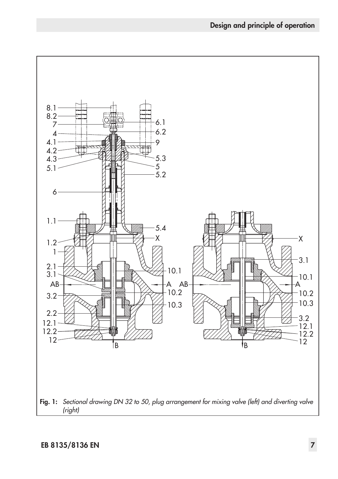<span id="page-6-0"></span>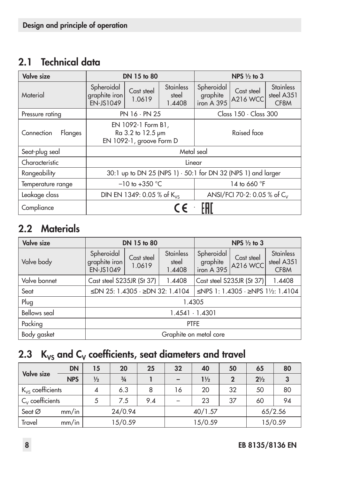## <span id="page-7-0"></span>2.1 Technical data

| <b>Valve size</b>     | DN 15 to 80                                                                        |                      |                                         | NPS $1/2$ to 3                         |                               |                                        |
|-----------------------|------------------------------------------------------------------------------------|----------------------|-----------------------------------------|----------------------------------------|-------------------------------|----------------------------------------|
| Material              | Spheroidal<br>graphite iron<br>EN-JS1049                                           | Cast steel<br>1.0619 | <b>Stainless</b><br>steel<br>1.4408     | Spheroidal<br>graphite<br>iron $A$ 395 | Cast steel<br><b>A216 WCC</b> | <b>Stainless</b><br>steel A351<br>CF8M |
| Pressure rating       |                                                                                    | PN 16 · PN 25        |                                         | Class $150 \cdot$ Class 300            |                               |                                        |
| Connection<br>Flanges | EN 1092-1 Form B1,<br>Raised face<br>Ra 3.2 to 12.5 pm<br>EN 1092-1, groove Form D |                      |                                         |                                        |                               |                                        |
| Seat-plug seal        | Metal seal                                                                         |                      |                                         |                                        |                               |                                        |
| Characteristic        | Linear                                                                             |                      |                                         |                                        |                               |                                        |
| Rangeability          | 30:1 up to DN 25 (NPS 1) $\cdot$ 50:1 for DN 32 (NPS 1) and larger                 |                      |                                         |                                        |                               |                                        |
| Temperature range     | $-10$ to $+350$ °C                                                                 |                      | 14 to 660 °F                            |                                        |                               |                                        |
| Leakage class         | DIN EN 1349: 0.05 % of K <sub>ys</sub>                                             |                      | ANSI/FCI 70-2: 0.05 % of C <sub>v</sub> |                                        |                               |                                        |
| Compliance            | CE.                                                                                |                      |                                         |                                        |                               |                                        |

## 2.2 Materials

| Valve size<br>DN 15 to 80<br>NPS $1/2$ to 3 |                                          |                      |                                     |                                      |                                  |                                        |
|---------------------------------------------|------------------------------------------|----------------------|-------------------------------------|--------------------------------------|----------------------------------|----------------------------------------|
| Valve body                                  | Spheroidal<br>graphite iron<br>EN-JS1049 | Cast steel<br>1.0619 | <b>Stainless</b><br>steel<br>1.4408 | Spheroidal<br>graphite<br>iron A 395 | Cast steel<br><b>A216 WCC</b>    | <b>Stainless</b><br>steel A351<br>CF8M |
| Valve bonnet                                | Cast steel S235JR (St 37)                |                      | 1.4408                              | Cast steel S235JR (St 37)            |                                  | 1.4408                                 |
| Seat                                        | ≤DN 25: 1.4305 · ≥DN 32: 1.4104          |                      |                                     |                                      | ≤NPS 1: 1.4305 · ≥NPS 1½: 1.4104 |                                        |
| Plug                                        |                                          | 1.4305               |                                     |                                      |                                  |                                        |
| <b>Bellows</b> seal                         | $1.4541 \cdot 1.4301$                    |                      |                                     |                                      |                                  |                                        |
| Packing                                     | <b>PTFE</b>                              |                      |                                     |                                      |                                  |                                        |
| Body gasket                                 |                                          |                      | Graphite on metal core              |                                      |                                  |                                        |

# 2.3  $K_{VS}$  and  $C_V$  coefficients, seat diameters and travel

| <b>Valve size</b>     | <b>DN</b>  | 15            | 20            | 25  | 32 | 40             | 50 | 65             | 80      |
|-----------------------|------------|---------------|---------------|-----|----|----------------|----|----------------|---------|
|                       | <b>NPS</b> | $\frac{1}{2}$ | $\frac{3}{4}$ |     |    | $1\frac{1}{2}$ | າ  | $2\frac{1}{2}$ | 3       |
| $K_{VS}$ coefficients |            | 4             | 6.3           | 8   | 16 | 20             | 32 | 50             | 80      |
| $C_v$ coefficients    |            | 5             | 7.5           | 9.4 |    | 23             | 37 | 60             | 94      |
| Seat Ø                | mm/in      |               | 24/0.94       |     |    | 40/1.57        |    |                | 65/2.56 |
| Travel                | mm/in      |               | 15/0.59       |     |    | 15/0.59        |    |                | 15/0.59 |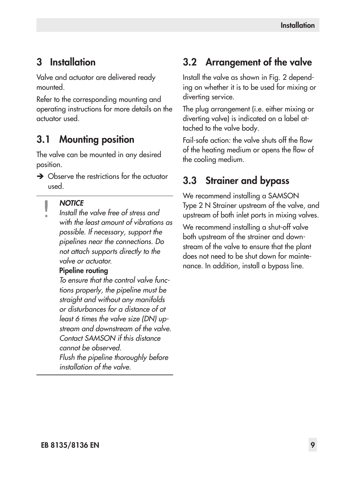# <span id="page-8-0"></span>3 Installation

Valve and actuator are delivered ready mounted.

Refer to the corresponding mounting and operating instructions for more details on the actuator used.

# 3.1 Mounting position

The valve can be mounted in any desired position.

 $\rightarrow$  Observe the restrictions for the actuator used.

### *NOTICE*

*Install the valve free of stress and with the least amount of vibrations as possible. If necessary, support the pipelines near the connections. Do not attach supports directly to the valve or actuator.*

#### Pipeline routing

*To ensure that the control valve functions properly, the pipeline must be straight and without any manifolds or disturbances for a distance of at*  least 6 times the valve size (DN) up*stream and downstream of the valve. Contact SAMSON if this distance cannot be observed. Flush the pipeline thoroughly before installation of the valve.*

# 3.2 Arrangement of the valve

Install the valve as shown in [Fig. 2](#page-9-0) depending on whether it is to be used for mixing or diverting service.

The plug arrangement (i.e. either mixing or diverting valve) is indicated on a label attached to the valve body.

Fail-safe action: the valve shuts off the flow of the heating medium or opens the flow of the cooling medium.

# 3.3 Strainer and bypass

We recommend installing a SAMSON Type 2 N Strainer upstream of the valve, and upstream of both inlet ports in mixing valves.

We recommend installing a shut-off valve both upstream of the strainer and downstream of the valve to ensure that the plant does not need to be shut down for maintenance. In addition, install a bypass line.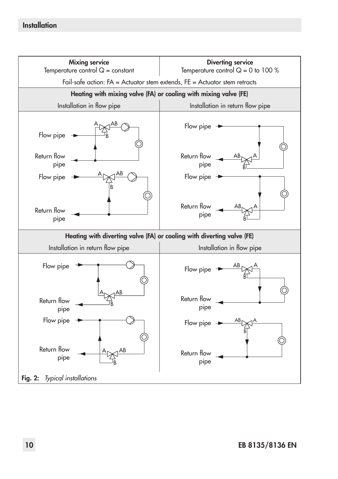<span id="page-9-0"></span>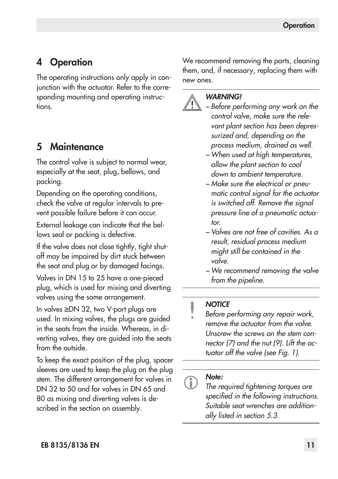# <span id="page-10-0"></span>4 Operation

The operating instructions only apply in conjunction with the actuator. Refer to the corresponding mounting and operating instructions.

### 5 Maintenance

The control valve is subject to normal wear, especially at the seat, plug, bellows, and packing.

Depending on the operating conditions, check the valve at regular intervals to prevent possible failure before it can occur.

External leakage can indicate that the bellows seal or packing is defective.

If the valve does not close tightly, tight shutoff may be impaired by dirt stuck between the seat and plug or by damaged facings.

Valves in DN 15 to 25 have a one-pieced plug, which is used for mixing and diverting valves using the same arrangement.

In valves ≥DN 32, two V-port plugs are used. In mixing valves, the plugs are guided in the seats from the inside. Whereas, in diverting valves, they are guided into the seats from the outside.

To keep the exact position of the plug, spacer sleeves are used to keep the plug on the plug stem. The different arrangement for valves in DN 32 to 50 and for valves in DN 65 and 80 as mixing and diverting valves is described in the section on assembly.

We recommend removing the parts, cleaning them, and, if necessary, replacing them with new ones.



*WARNING!*

- *− Before performing any work on the control valve, make sure the relevant plant section has been depressurized and, depending on the process medium, drained as well.*
- *− When used at high temperatures, allow the plant section to cool down to ambient temperature.*
- *− Make sure the electrical or pneumatic control signal for the actuator is switched off. Remove the signal pressure line of a pneumatic actuator.*
- *− Valves are not free of cavities. As a result, residual process medium might still be contained in the valve.*
- *− We recommend removing the valve from the pipeline.*

#### *NOTICE*

*Before performing any repair work, remove the actuator from the valve. Unscrew the screws on the stem con*nector (7) and the nut (9). Lift the actuator off the valve (see [Fig. 1](#page-6-0)).

#### *Note:*

Ť.

*The required tightening torques are*  specified in the following instructions. *Suitable seat wrenches are addition*ally listed in section [5.3](#page-21-1).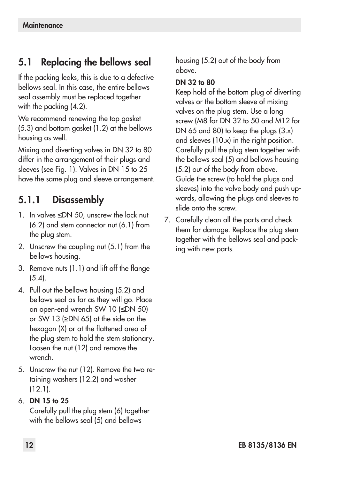# <span id="page-11-0"></span>5.1 Replacing the bellows seal

If the packing leaks, this is due to a defective bellows seal. In this case, the entire bellows seal assembly must be replaced together with the packing (4.2).

We recommend renewing the top gasket (5.3) and bottom gasket (1.2) at the bellows housing as well.

Mixing and diverting valves in DN 32 to 80 differ in the arrangement of their plugs and sleeves (see [Fig. 1\)](#page-6-0). Valves in DN 15 to 25 have the same plug and sleeve arrangement.

# 5.1.1 Disassembly

- 1. In valves ≤DN 50, unscrew the lock nut (6.2) and stem connector nut (6.1) from the plug stem.
- 2. Unscrew the coupling nut (5.1) from the bellows housing.
- 3. Remove nuts (1.1) and lift off the flange (5.4).
- 4. Pull out the bellows housing (5.2) and bellows seal as far as they will go. Place an open-end wrench SW 10 (≤DN 50) or SW 13 (≥DN 65) at the side on the hexagon (X) or at the flattened area of the plug stem to hold the stem stationary. Loosen the nut (12) and remove the wrench.
- 5. Unscrew the nut (12). Remove the two retaining washers (12.2) and washer (12.1).

### 6. DN 15 to 25

Carefully pull the plug stem (6) together with the bellows seal (5) and bellows

housing (5.2) out of the body from above.

### DN 32 to 80

Keep hold of the bottom plug of diverting valves or the bottom sleeve of mixing valves on the plug stem. Use a long screw (M8 for DN 32 to 50 and M12 for DN 65 and 80) to keep the plugs (3.x) and sleeves (10.x) in the right position. Carefully pull the plug stem together with the bellows seal (5) and bellows housing (5.2) out of the body from above. Guide the screw (to hold the plugs and sleeves) into the valve body and push upwards, allowing the plugs and sleeves to slide onto the screw.

7. Carefully clean all the parts and check them for damage. Replace the plug stem together with the bellows seal and packing with new parts.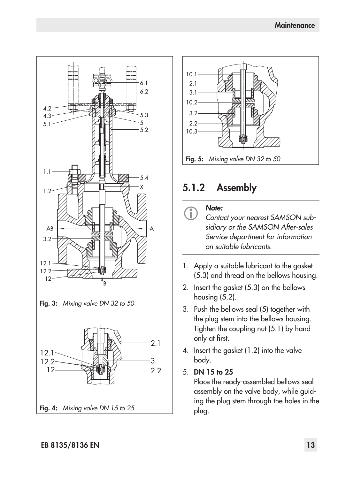<span id="page-12-0"></span>



# 5.1.2 Assembly

*Note:*

Œ.

*Contact your nearest SAMSON subsidiary or the SAMSON After-sales Service department for information on suitable lubricants.*

- 1. Apply a suitable lubricant to the gasket (5.3) and thread on the bellows housing.
- 2. Insert the gasket (5.3) on the bellows housing (5.2).
- 3. Push the bellows seal (5) together with the plug stem into the bellows housing. Tighten the coupling nut (5.1) by hand only at first.
- 4. Insert the gasket (1.2) into the valve body.
- 5. DN 15 to 25

Place the ready-assembled bellows seal assembly on the valve body, while guiding the plug stem through the holes in the plug.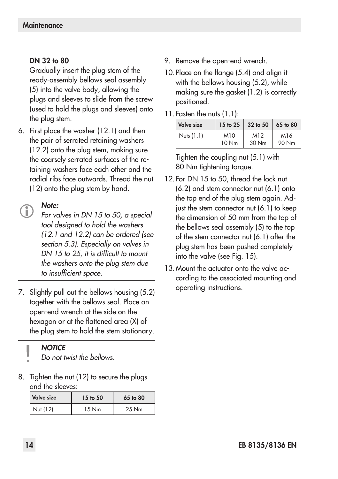#### DN 32 to 80

Gradually insert the plug stem of the ready-assembly bellows seal assembly (5) into the valve body, allowing the plugs and sleeves to slide from the screw (used to hold the plugs and sleeves) onto the plug stem.

6. First place the washer (12.1) and then the pair of serrated retaining washers (12.2) onto the plug stem, making sure the coarsely serrated surfaces of the retaining washers face each other and the radial ribs face outwards. Thread the nut (12) onto the plug stem by hand.

#### *Note:*

Œ

For valves in DN 15 to 50, a special *tool designed to hold the washers*  (12.1 and 12.2) can be ordered (see section [5.3](#page-21-1)). Especially on valves in DN 15 to 25, it is difficult to mount *the washers onto the plug stem due*  to insufficient space.

7. Slightly pull out the bellows housing (5.2) together with the bellows seal. Place an open-end wrench at the side on the hexagon or at the flattened area (X) of the plug stem to hold the stem stationary.

#### *NOTICE*

*Do not twist the bellows.*

8. Tighten the nut (12) to secure the plugs and the sleeves:

| Valve size | 15 to 50 | $65$ to $80$ |
|------------|----------|--------------|
| Nut (12)   | 15 Nm    | $25$ Nm      |

- 9. Remove the open-end wrench.
- 10. Place on the flange (5.4) and align it with the bellows housing (5.2), while making sure the gasket (1.2) is correctly positioned.
- 11. Fasten the nuts (1.1):

| <b>Valve size</b> | 15 to 25 | 32 to 50 | 65 to 80 |
|-------------------|----------|----------|----------|
| Nuts (1.1)        | M10      | M12      | M16      |
|                   | 10 Nm    | 30 Nm    | 90 Nm    |

Tighten the coupling nut (5.1) with 80 Nm tightening torque.

- 12. For DN 15 to 50, thread the lock nut (6.2) and stem connector nut (6.1) onto the top end of the plug stem again. Adjust the stem connector nut (6.1) to keep the dimension of 50 mm from the top of the bellows seal assembly (5) to the top of the stem connector nut (6.1) after the plug stem has been pushed completely into the valve (see [Fig. 15](#page-24-1)).
- 13.Mount the actuator onto the valve according to the associated mounting and operating instructions.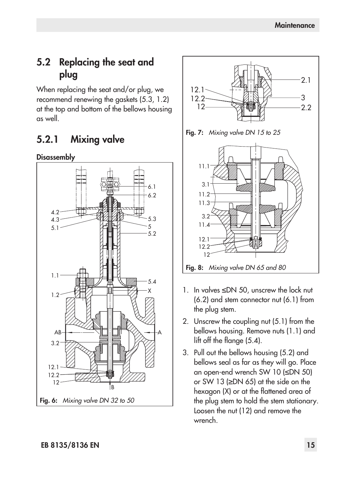# <span id="page-14-0"></span>5.2 Replacing the seat and plug

When replacing the seat and/or plug, we recommend renewing the gaskets (5.3, 1.2) at the top and bottom of the bellows housing as well.

# 5.2.1 Mixing valve

### **Disassembly**





- 1. In valves ≤DN 50, unscrew the lock nut (6.2) and stem connector nut (6.1) from the plug stem.
- 2. Unscrew the coupling nut (5.1) from the bellows housing. Remove nuts (1.1) and lift off the flange (5.4).
- 3. Pull out the bellows housing (5.2) and bellows seal as far as they will go. Place an open-end wrench SW 10 (≤DN 50) or SW 13 (≥DN 65) at the side on the hexagon (X) or at the flattened area of the plug stem to hold the stem stationary. Loosen the nut (12) and remove the wrench.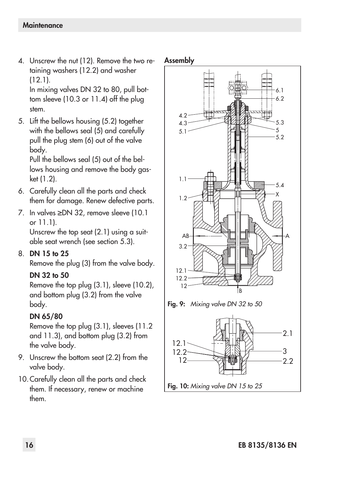#### **Maintenance**

4. Unscrew the nut (12). Remove the two retaining washers (12.2) and washer (12.1).

In mixing valves DN 32 to 80, pull bottom sleeve (10.3 or 11.4) off the plug stem.

5. Lift the bellows housing (5.2) together with the bellows seal (5) and carefully pull the plug stem (6) out of the valve body.

Pull the bellows seal (5) out of the bellows housing and remove the body gasket (1.2).

- 6. Carefully clean all the parts and check them for damage. Renew defective parts.
- 7. In valves ≥DN 32, remove sleeve (10.1 or 11.1).

Unscrew the top seat (2.1) using a suitable seat wrench (see section [5.3](#page-21-1)).

#### 8. DN 15 to 25

Remove the plug (3) from the valve body.

#### DN 32 to 50

Remove the top plug (3.1), sleeve (10.2), and bottom plug (3.2) from the valve body.

#### DN 65/80

Remove the top plug (3.1), sleeves (11.2 and 11.3), and bottom plug (3.2) from the valve body.

- 9. Unscrew the bottom seat (2.2) from the valve body.
- 10.Carefully clean all the parts and check them. If necessary, renew or machine them.

#### Assembly



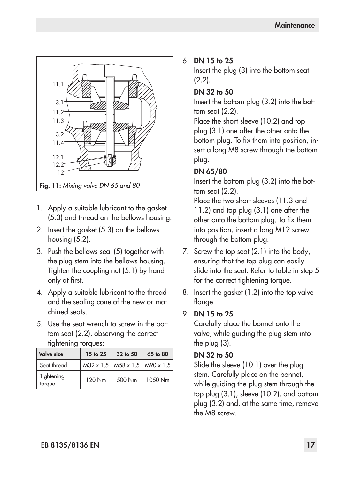

- 1. Apply a suitable lubricant to the gasket (5.3) and thread on the bellows housing.
- 2. Insert the gasket (5.3) on the bellows housing (5.2).
- 3. Push the bellows seal (5) together with the plug stem into the bellows housing. Tighten the coupling nut (5.1) by hand only at first.
- 4. Apply a suitable lubricant to the thread and the sealing cone of the new or machined seats.
- 5. Use the seat wrench to screw in the bottom seat (2.2), observing the correct tightening torques:

| <b>Valve size</b>    | 15 to 25 | 32 to 50 | 65 to 80                                           |
|----------------------|----------|----------|----------------------------------------------------|
| Seat thread          |          |          | $M32 \times 1.5$ $M58 \times 1.5$ $M90 \times 1.5$ |
| Tightening<br>torque | 120 Nm   | 500 Nm   | 1050 Nm                                            |

#### 6. DN 15 to 25

Insert the plug (3) into the bottom seat (2.2).

#### DN 32 to 50

Insert the bottom plug (3.2) into the bottom seat (2.2).

Place the short sleeve (10.2) and top plug (3.1) one after the other onto the bottom plug. To fix them into position, insert a long M8 screw through the bottom plug.

### DN 65/80

Insert the bottom plug (3.2) into the bottom seat (2.2).

Place the two short sleeves (11.3 and 11.2) and top plug (3.1) one after the other onto the bottom plug. To fix them into position, insert a long M12 screw through the bottom plug.

- 7. Screw the top seat (2.1) into the body, ensuring that the top plug can easily slide into the seat. Refer to table in step 5 for the correct tightening torque.
- 8. Insert the gasket (1.2) into the top valve flange.

### 9. DN 15 to 25

Carefully place the bonnet onto the valve, while guiding the plug stem into the plug (3).

### DN 32 to 50

Slide the sleeve (10.1) over the plug stem. Carefully place on the bonnet, while guiding the plug stem through the top plug (3.1), sleeve (10.2), and bottom plug (3.2) and, at the same time, remove the M8 screw.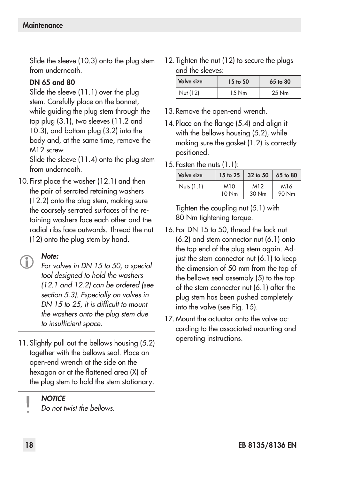Slide the sleeve (10.3) onto the plug stem from underneath.

#### DN 65 and 80

Slide the sleeve (11.1) over the plug stem. Carefully place on the bonnet, while guiding the plug stem through the top plug (3.1), two sleeves (11.2 and 10.3), and bottom plug (3.2) into the body and, at the same time, remove the M12 screw.

Slide the sleeve (11.4) onto the plug stem from underneath.

10. First place the washer (12.1) and then the pair of serrated retaining washers (12.2) onto the plug stem, making sure the coarsely serrated surfaces of the retaining washers face each other and the radial ribs face outwards. Thread the nut (12) onto the plug stem by hand.

#### *Note:*

Œ

For valves in DN 15 to 50, a special *tool designed to hold the washers*  (12.1 and 12.2) can be ordered (see section [5.3](#page-21-1)). Especially on valves in DN 15 to 25, it is difficult to mount *the washers onto the plug stem due*  to insufficient space.

11.Slightly pull out the bellows housing (5.2) together with the bellows seal. Place an open-end wrench at the side on the hexagon or at the flattened area (X) of the plug stem to hold the stem stationary.

#### *NOTICE*

*Do not twist the bellows.*

12. Tighten the nut (12) to secure the plugs and the sleeves:

| Valve size | 15 to 50 | 65 to 80 |
|------------|----------|----------|
| Nut (12)   | $15$ Nm  | $25$ Nm  |

- 13.Remove the open-end wrench.
- 14. Place on the flange (5.4) and align it with the bellows housing (5.2), while making sure the gasket (1.2) is correctly positioned.
- 15. Fasten the nuts (1.1):

| Valve size | 15 to 25 $\parallel$ | 32 to 50 65 to 80 |       |
|------------|----------------------|-------------------|-------|
| Nuts (1.1) | M10                  | M12               | M16   |
|            | 10 Nm                | 30 Nm             | 90 Nm |

Tighten the coupling nut (5.1) with 80 Nm tightening torque.

- 16. For DN 15 to 50, thread the lock nut (6.2) and stem connector nut (6.1) onto the top end of the plug stem again. Adjust the stem connector nut (6.1) to keep the dimension of 50 mm from the top of the bellows seal assembly (5) to the top of the stem connector nut (6.1) after the plug stem has been pushed completely into the valve (see [Fig. 15](#page-24-1)).
- 17.Mount the actuator onto the valve according to the associated mounting and operating instructions.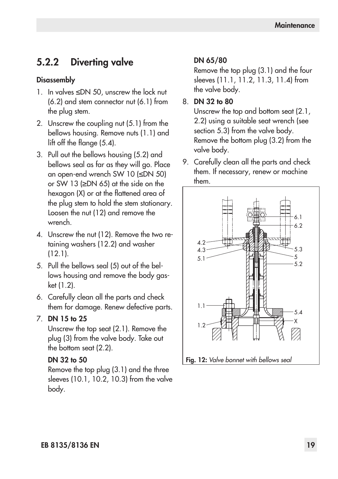# <span id="page-18-0"></span>5.2.2 Diverting valve

### **Disassembly**

- 1. In valves ≤DN 50, unscrew the lock nut (6.2) and stem connector nut (6.1) from the plug stem.
- 2. Unscrew the coupling nut (5.1) from the bellows housing. Remove nuts (1.1) and lift off the flange (5.4).
- 3. Pull out the bellows housing (5.2) and bellows seal as far as they will go. Place an open-end wrench SW 10 (≤DN 50) or SW 13 (≥DN 65) at the side on the hexagon (X) or at the flattened area of the plug stem to hold the stem stationary. Loosen the nut (12) and remove the wrench.
- 4. Unscrew the nut (12). Remove the two retaining washers (12.2) and washer (12.1).
- 5. Pull the bellows seal (5) out of the bellows housing and remove the body gasket (1.2).
- 6. Carefully clean all the parts and check them for damage. Renew defective parts.

### 7. DN 15 to 25

Unscrew the top seat (2.1). Remove the plug (3) from the valve body. Take out the bottom seat (2.2).

### DN 32 to 50

Remove the top plug (3.1) and the three sleeves (10.1, 10.2, 10.3) from the valve body.

### DN 65/80

Remove the top plug (3.1) and the four sleeves (11.1, 11.2, 11.3, 11.4) from the valve body.

### 8. DN 32 to 80

Unscrew the top and bottom seat (2.1, 2.2) using a suitable seat wrench (see section [5.3](#page-21-1)) from the valve body. Remove the bottom plug (3.2) from the valve body.

9. Carefully clean all the parts and check them. If necessary, renew or machine them.

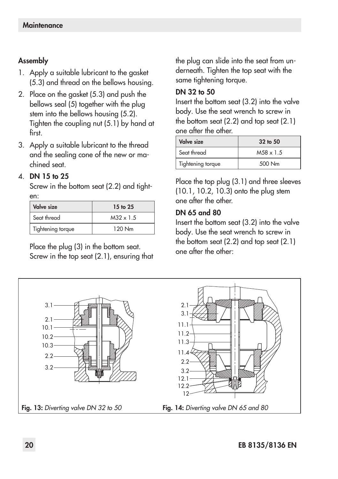#### Assembly

- 1. Apply a suitable lubricant to the gasket (5.3) and thread on the bellows housing.
- 2. Place on the gasket (5.3) and push the bellows seal (5) together with the plug stem into the bellows housing (5.2). Tighten the coupling nut (5.1) by hand at first.
- 3. Apply a suitable lubricant to the thread and the sealing cone of the new or machined seat.

### 4. DN 15 to 25

Screw in the bottom seat (2.2) and tighten:

| Valve size        | 15 to 25         |
|-------------------|------------------|
| Seat thread       | $M32 \times 1.5$ |
| Tightening torque | 120 Nm           |

Place the plug (3) in the bottom seat. Screw in the top seat (2.1), ensuring that the plug can slide into the seat from underneath. Tighten the top seat with the same tightening torque.

#### DN 32 to 50

Insert the bottom seat (3.2) into the valve body. Use the seat wrench to screw in the bottom seat (2.2) and top seat (2.1) one after the other.

| Valve size        | 32 to 50            |
|-------------------|---------------------|
| Seat thread       | $M_{58} \times 1.5$ |
| Tightening torque | 500 Nm              |

Place the top plug (3.1) and three sleeves (10.1, 10.2, 10.3) onto the plug stem one after the other.

#### DN 65 and 80

Insert the bottom seat (3.2) into the valve body. Use the seat wrench to screw in the bottom seat (2.2) and top seat (2.1) one after the other:

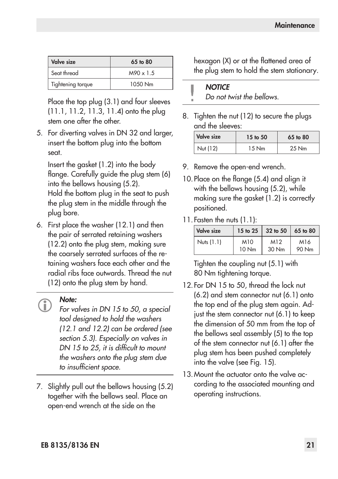| Valve size        | 65 to 80         |
|-------------------|------------------|
| Seat thread       | $M90 \times 1.5$ |
| Tightening torque | 1050 Nm          |

Place the top plug (3.1) and four sleeves (11.1, 11.2, 11.3, 11.4) onto the plug stem one after the other.

5. For diverting valves in DN 32 and larger, insert the bottom plug into the bottom seat.

Insert the gasket (1.2) into the body flange. Carefully guide the plug stem (6) into the bellows housing (5.2). Hold the bottom plug in the seat to push the plug stem in the middle through the plug bore.

6. First place the washer (12.1) and then the pair of serrated retaining washers (12.2) onto the plug stem, making sure the coarsely serrated surfaces of the retaining washers face each other and the radial ribs face outwards. Thread the nut (12) onto the plug stem by hand.

### *Note:*

Œ

For valves in DN 15 to 50, a special *tool designed to hold the washers*  (12.1 and 12.2) can be ordered (see section [5.3](#page-21-1)). Especially on valves in DN 15 to 25, it is difficult to mount *the washers onto the plug stem due*  to insufficient space.

7. Slightly pull out the bellows housing (5.2) together with the bellows seal. Place an open-end wrench at the side on the

hexagon (X) or at the flattened area of the plug stem to hold the stem stationary.

### *NOTICE Do not twist the bellows.*

8. Tighten the nut (12) to secure the plugs and the sleeves:

| Valve size | 15 to 50 | $65$ to $80$ |
|------------|----------|--------------|
| Nut (12)   | $15$ Nm  | 25 Nm        |

- 9. Remove the open-end wrench.
- 10. Place on the flange (5.4) and align it with the bellows housing (5.2), while making sure the gasket (1.2) is correctly positioned.
- 11. Fasten the nuts (1.1):

| Valve size | 15 to 25 | 32 to 50 65 to 80 |       |
|------------|----------|-------------------|-------|
| Nuts (1.1) | M10      | M12               | M16   |
|            | 10 Nm    | 30 Nm             | 90 Nm |

Tighten the coupling nut (5.1) with 80 Nm tightening torque.

- 12. For DN 15 to 50, thread the lock nut (6.2) and stem connector nut (6.1) onto the top end of the plug stem again. Adjust the stem connector nut (6.1) to keep the dimension of 50 mm from the top of the bellows seal assembly (5) to the top of the stem connector nut (6.1) after the plug stem has been pushed completely into the valve (see [Fig. 15\)](#page-24-1).
- 13.Mount the actuator onto the valve according to the associated mounting and operating instructions.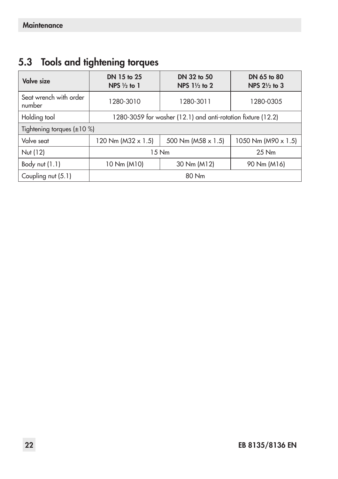<span id="page-21-1"></span><span id="page-21-0"></span>

|  |  |  |  | 5.3 Tools and tightening torques |  |  |
|--|--|--|--|----------------------------------|--|--|
|--|--|--|--|----------------------------------|--|--|

| Valve size                       | DN 15 to 25<br>NPS $1/2$ to 1                                | DN 32 to 50<br>NPS $1\frac{1}{2}$ to 2 | DN 65 to 80<br>NPS $2\frac{1}{2}$ to 3 |  |  |
|----------------------------------|--------------------------------------------------------------|----------------------------------------|----------------------------------------|--|--|
| Seat wrench with order<br>number | 1280-3010                                                    | 1280-3011                              |                                        |  |  |
| Holding tool                     | 1280-3059 for washer (12.1) and anti-rotation fixture (12.2) |                                        |                                        |  |  |
| Tightening torques $(\pm 10\%)$  |                                                              |                                        |                                        |  |  |
| Valve seat                       | 120 Nm (M32 x 1.5)                                           | 500 Nm ( $M$ 58 x 1.5)                 | 1050 Nm (M90 $\times$ 1.5)             |  |  |
| Nut (12)                         | 15 Nm                                                        |                                        | $25$ Nm                                |  |  |
| Body nut $(1.1)$                 | 10 Nm (M10)                                                  |                                        | 90 Nm (M16)                            |  |  |
| Coupling nut (5.1)               | 80 Nm                                                        |                                        |                                        |  |  |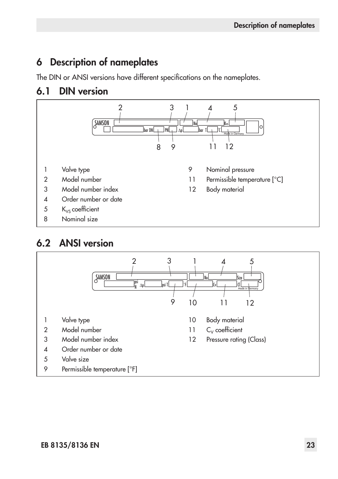# <span id="page-22-0"></span>6 Description of nameplates

The DIN or ANSI versions have different specifications on the nameplates.

### 6.1 DIN version



# 6.2 ANSI version

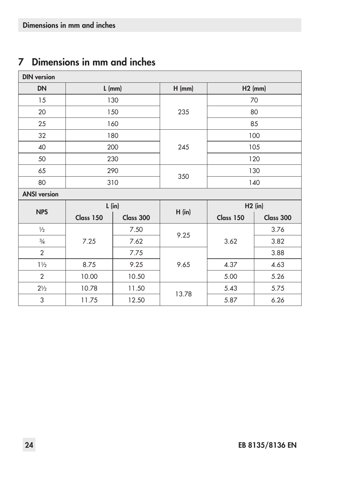# <span id="page-23-0"></span>7 Dimensions in mm and inches

| <b>DIN</b> version  |                  |                   |          |                  |           |  |
|---------------------|------------------|-------------------|----------|------------------|-----------|--|
| DN                  |                  | $L$ (mm)          | $H$ (mm) |                  | $H2$ (mm) |  |
| 15                  |                  | 130               | 70       |                  |           |  |
| 20                  |                  | 150               | 235      | 80               |           |  |
| 25                  |                  | 160               |          | 85               |           |  |
| 32                  | 180              |                   |          |                  | 100       |  |
| 40                  |                  | 105<br>200<br>245 |          |                  |           |  |
| 50                  |                  | 230               |          | 120              |           |  |
| 65                  | 290<br>130       |                   |          |                  |           |  |
| 80                  |                  | 310               | 350      |                  | 140       |  |
| <b>ANSI</b> version |                  |                   |          |                  |           |  |
|                     | $L$ (in)         |                   |          | $H2$ (in)        |           |  |
| <b>NPS</b>          | <b>Class 150</b> | Class 300         | H (in)   | <b>Class 150</b> | Class 300 |  |
| $\frac{1}{2}$       |                  | 7.50              | 9.25     |                  | 3.76      |  |
| $\frac{3}{4}$       | 7.25             | 7.62              |          | 3.62             | 3.82      |  |
| $\overline{2}$      |                  | 7.75              |          |                  | 3.88      |  |
| $1\frac{1}{2}$      | 8.75             | 9.25              | 9.65     | 4.37             | 4.63      |  |
| $\overline{2}$      | 10.00            | 10.50             |          | 5.00             | 5.26      |  |
| $2\frac{1}{2}$      | 10.78            | 11.50             |          | 5.43             | 5.75      |  |
| $\sqrt{3}$          | 11.75            | 12.50             | 13.78    | 5.87             | 6.26      |  |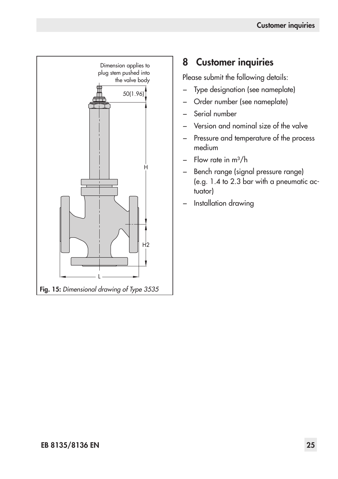<span id="page-24-0"></span>

### 8 Customer inquiries

Please submit the following details:

- *−* Type designation (see nameplate)
- *−* Order number (see nameplate)
- *−* Serial number
- *−* Version and nominal size of the valve
- *−* Pressure and temperature of the process medium
- *−* Flow rate in m³/h
- *−* Bench range (signal pressure range) (e.g. 1.4 to 2.3 bar with a pneumatic actuator)
- <span id="page-24-1"></span>*−* Installation drawing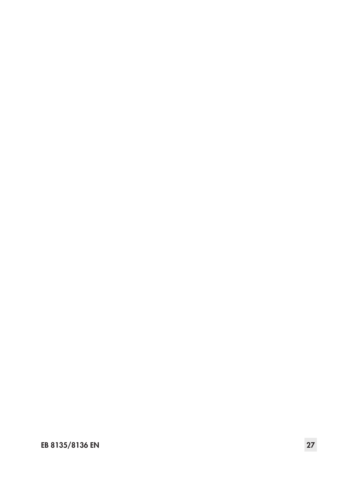EB 8135/8136 EN 27